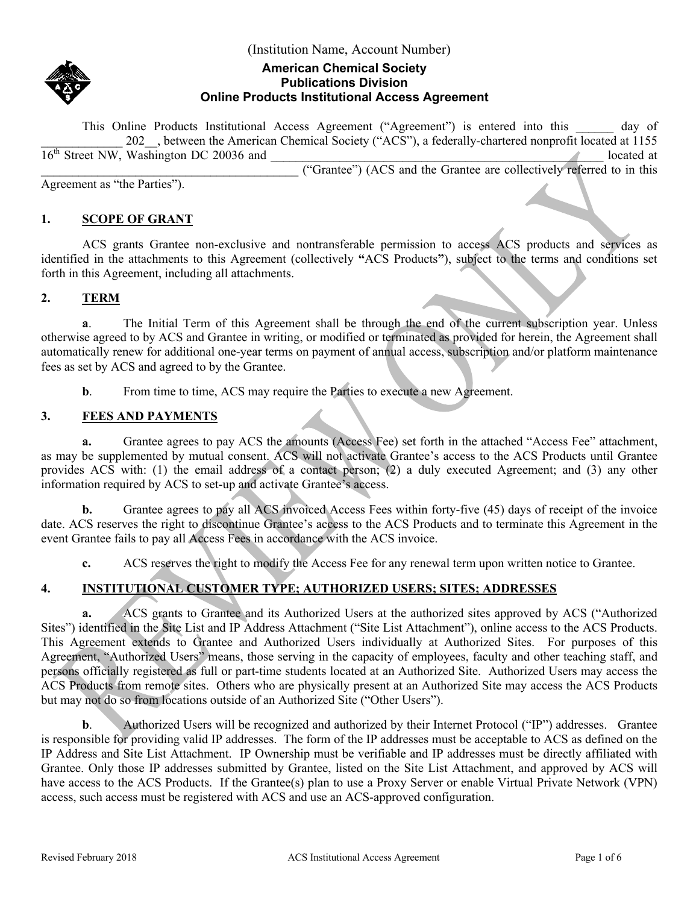

## **American Chemical Society Publications Division Online Products Institutional Access Agreement**

This Online Products Institutional Access Agreement ("Agreement") is entered into this day of 202 , between the American Chemical Society ("ACS"), a federally-chartered nonprofit located at 1155  $16<sup>th</sup>$  Street NW, Washington DC 20036 and  $\qquad \qquad$  located at

\_\_\_\_\_\_\_\_\_\_\_\_\_\_\_\_\_\_\_\_\_\_\_\_\_\_\_\_\_\_\_\_\_\_\_\_\_\_\_\_\_ ("Grantee") (ACS and the Grantee are collectively referred to in this Agreement as "the Parties").

## **1. SCOPE OF GRANT**

ACS grants Grantee non-exclusive and nontransferable permission to access ACS products and services as identified in the attachments to this Agreement (collectively **"**ACS Products**"**), subject to the terms and conditions set forth in this Agreement, including all attachments.

## **2. TERM**

**a**. The Initial Term of this Agreement shall be through the end of the current subscription year. Unless otherwise agreed to by ACS and Grantee in writing, or modified or terminated as provided for herein, the Agreement shall automatically renew for additional one-year terms on payment of annual access, subscription and/or platform maintenance fees as set by ACS and agreed to by the Grantee.

**b.** From time to time, ACS may require the Parties to execute a new Agreement.

## **3. FEES AND PAYMENTS**

**a.** Grantee agrees to pay ACS the amounts (Access Fee) set forth in the attached "Access Fee" attachment, as may be supplemented by mutual consent. ACS will not activate Grantee's access to the ACS Products until Grantee provides ACS with: (1) the email address of a contact person; (2) a duly executed Agreement; and (3) any other information required by ACS to set-up and activate Grantee's access.

**b.** Grantee agrees to pay all ACS invoiced Access Fees within forty-five (45) days of receipt of the invoice date. ACS reserves the right to discontinue Grantee's access to the ACS Products and to terminate this Agreement in the event Grantee fails to pay all Access Fees in accordance with the ACS invoice.

**c.** ACS reserves the right to modify the Access Fee for any renewal term upon written notice to Grantee.

# **4. INSTITUTIONAL CUSTOMER TYPE; AUTHORIZED USERS; SITES; ADDRESSES**

**a.** ACS grants to Grantee and its Authorized Users at the authorized sites approved by ACS ("Authorized Sites") identified in the Site List and IP Address Attachment ("Site List Attachment"), online access to the ACS Products. This Agreement extends to Grantee and Authorized Users individually at Authorized Sites. For purposes of this Agreement, "Authorized Users" means, those serving in the capacity of employees, faculty and other teaching staff, and persons officially registered as full or part-time students located at an Authorized Site. Authorized Users may access the ACS Products from remote sites. Others who are physically present at an Authorized Site may access the ACS Products but may not do so from locations outside of an Authorized Site ("Other Users").

**b.** Authorized Users will be recognized and authorized by their Internet Protocol ("IP") addresses. Grantee is responsible for providing valid IP addresses. The form of the IP addresses must be acceptable to ACS as defined on the IP Address and Site List Attachment. IP Ownership must be verifiable and IP addresses must be directly affiliated with Grantee. Only those IP addresses submitted by Grantee, listed on the Site List Attachment, and approved by ACS will have access to the ACS Products. If the Grantee(s) plan to use a Proxy Server or enable Virtual Private Network (VPN) access, such access must be registered with ACS and use an ACS-approved configuration.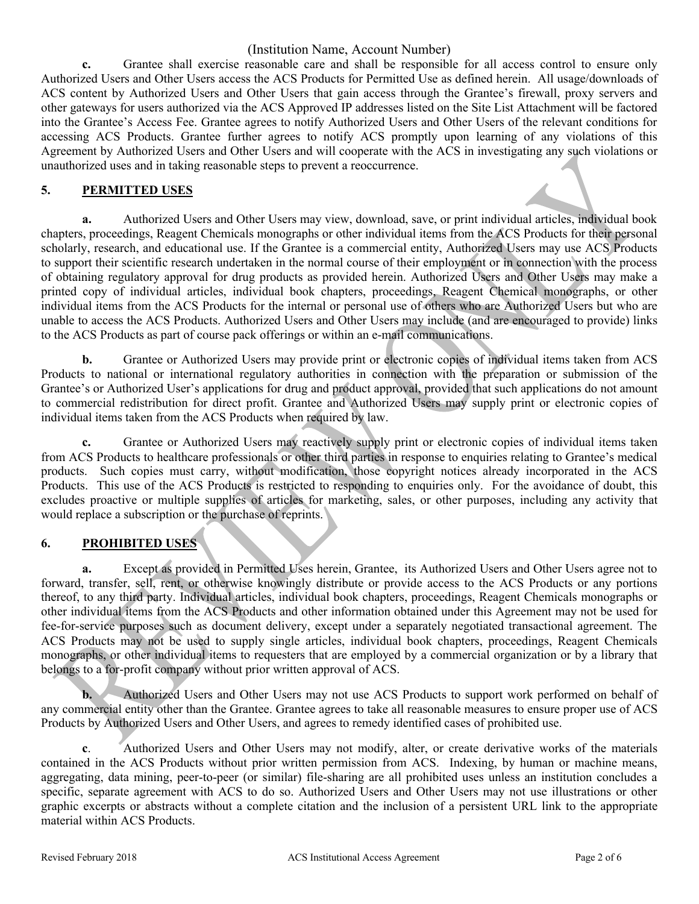**c.** Grantee shall exercise reasonable care and shall be responsible for all access control to ensure only Authorized Users and Other Users access the ACS Products for Permitted Use as defined herein. All usage/downloads of ACS content by Authorized Users and Other Users that gain access through the Grantee's firewall, proxy servers and other gateways for users authorized via the ACS Approved IP addresses listed on the Site List Attachment will be factored into the Grantee's Access Fee. Grantee agrees to notify Authorized Users and Other Users of the relevant conditions for accessing ACS Products. Grantee further agrees to notify ACS promptly upon learning of any violations of this Agreement by Authorized Users and Other Users and will cooperate with the ACS in investigating any such violations or unauthorized uses and in taking reasonable steps to prevent a reoccurrence.

#### **5. PERMITTED USES**

**a.** Authorized Users and Other Users may view, download, save, or print individual articles, individual book chapters, proceedings, Reagent Chemicals monographs or other individual items from the ACS Products for their personal scholarly, research, and educational use. If the Grantee is a commercial entity, Authorized Users may use ACS Products to support their scientific research undertaken in the normal course of their employment or in connection with the process of obtaining regulatory approval for drug products as provided herein. Authorized Users and Other Users may make a printed copy of individual articles, individual book chapters, proceedings, Reagent Chemical monographs, or other individual items from the ACS Products for the internal or personal use of others who are Authorized Users but who are unable to access the ACS Products. Authorized Users and Other Users may include (and are encouraged to provide) links to the ACS Products as part of course pack offerings or within an e-mail communications.

**b.** Grantee or Authorized Users may provide print or electronic copies of individual items taken from ACS Products to national or international regulatory authorities in connection with the preparation or submission of the Grantee's or Authorized User's applications for drug and product approval, provided that such applications do not amount to commercial redistribution for direct profit. Grantee and Authorized Users may supply print or electronic copies of individual items taken from the ACS Products when required by law.

**c.** Grantee or Authorized Users may reactively supply print or electronic copies of individual items taken from ACS Products to healthcare professionals or other third parties in response to enquiries relating to Grantee's medical products. Such copies must carry, without modification, those copyright notices already incorporated in the ACS Products. This use of the ACS Products is restricted to responding to enquiries only. For the avoidance of doubt, this excludes proactive or multiple supplies of articles for marketing, sales, or other purposes, including any activity that would replace a subscription or the purchase of reprints.

## **6. PROHIBITED USES**

**a.** Except as provided in Permitted Uses herein, Grantee, its Authorized Users and Other Users agree not to forward, transfer, sell, rent, or otherwise knowingly distribute or provide access to the ACS Products or any portions thereof, to any third party. Individual articles, individual book chapters, proceedings, Reagent Chemicals monographs or other individual items from the ACS Products and other information obtained under this Agreement may not be used for fee-for-service purposes such as document delivery, except under a separately negotiated transactional agreement. The ACS Products may not be used to supply single articles, individual book chapters, proceedings, Reagent Chemicals monographs, or other individual items to requesters that are employed by a commercial organization or by a library that belongs to a for-profit company without prior written approval of ACS.

**b.** Authorized Users and Other Users may not use ACS Products to support work performed on behalf of any commercial entity other than the Grantee. Grantee agrees to take all reasonable measures to ensure proper use of ACS Products by Authorized Users and Other Users, and agrees to remedy identified cases of prohibited use.

**c**. Authorized Users and Other Users may not modify, alter, or create derivative works of the materials contained in the ACS Products without prior written permission from ACS. Indexing, by human or machine means, aggregating, data mining, peer-to-peer (or similar) file-sharing are all prohibited uses unless an institution concludes a specific, separate agreement with ACS to do so. Authorized Users and Other Users may not use illustrations or other graphic excerpts or abstracts without a complete citation and the inclusion of a persistent URL link to the appropriate material within ACS Products.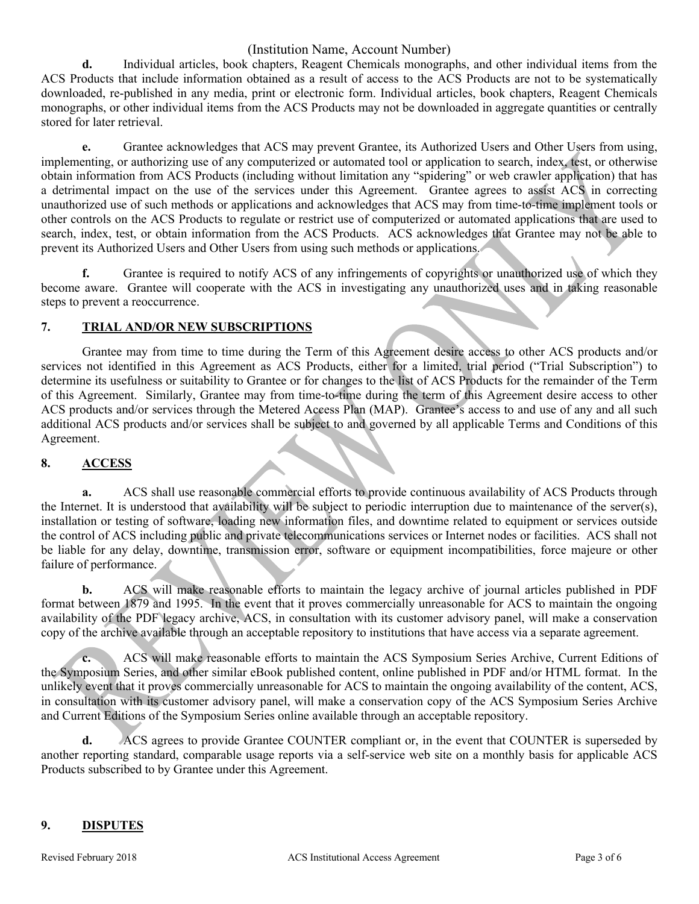**d.** Individual articles, book chapters, Reagent Chemicals monographs, and other individual items from the ACS Products that include information obtained as a result of access to the ACS Products are not to be systematically downloaded, re-published in any media, print or electronic form. Individual articles, book chapters, Reagent Chemicals monographs, or other individual items from the ACS Products may not be downloaded in aggregate quantities or centrally stored for later retrieval.

**e.** Grantee acknowledges that ACS may prevent Grantee, its Authorized Users and Other Users from using, implementing, or authorizing use of any computerized or automated tool or application to search, index, test, or otherwise obtain information from ACS Products (including without limitation any "spidering" or web crawler application) that has a detrimental impact on the use of the services under this Agreement. Grantee agrees to assist ACS in correcting unauthorized use of such methods or applications and acknowledges that ACS may from time-to-time implement tools or other controls on the ACS Products to regulate or restrict use of computerized or automated applications that are used to search, index, test, or obtain information from the ACS Products. ACS acknowledges that Grantee may not be able to prevent its Authorized Users and Other Users from using such methods or applications.

**f.** Grantee is required to notify ACS of any infringements of copyrights or unauthorized use of which they become aware. Grantee will cooperate with the ACS in investigating any unauthorized uses and in taking reasonable steps to prevent a reoccurrence.

#### **7. TRIAL AND/OR NEW SUBSCRIPTIONS**

Grantee may from time to time during the Term of this Agreement desire access to other ACS products and/or services not identified in this Agreement as ACS Products, either for a limited, trial period ("Trial Subscription") to determine its usefulness or suitability to Grantee or for changes to the list of ACS Products for the remainder of the Term of this Agreement. Similarly, Grantee may from time-to-time during the term of this Agreement desire access to other ACS products and/or services through the Metered Access Plan (MAP). Grantee's access to and use of any and all such additional ACS products and/or services shall be subject to and governed by all applicable Terms and Conditions of this Agreement.

## **8. ACCESS**

**a.** ACS shall use reasonable commercial efforts to provide continuous availability of ACS Products through the Internet. It is understood that availability will be subject to periodic interruption due to maintenance of the server(s), installation or testing of software, loading new information files, and downtime related to equipment or services outside the control of ACS including public and private telecommunications services or Internet nodes or facilities. ACS shall not be liable for any delay, downtime, transmission error, software or equipment incompatibilities, force majeure or other failure of performance.

**b.** ACS will make reasonable efforts to maintain the legacy archive of journal articles published in PDF format between 1879 and 1995. In the event that it proves commercially unreasonable for ACS to maintain the ongoing availability of the PDF legacy archive, ACS, in consultation with its customer advisory panel, will make a conservation copy of the archive available through an acceptable repository to institutions that have access via a separate agreement.

**c.** ACS will make reasonable efforts to maintain the ACS Symposium Series Archive, Current Editions of the Symposium Series, and other similar eBook published content, online published in PDF and/or HTML format. In the unlikely event that it proves commercially unreasonable for ACS to maintain the ongoing availability of the content, ACS, in consultation with its customer advisory panel, will make a conservation copy of the ACS Symposium Series Archive and Current Editions of the Symposium Series online available through an acceptable repository.

**d.** ACS agrees to provide Grantee COUNTER compliant or, in the event that COUNTER is superseded by another reporting standard, comparable usage reports via a self-service web site on a monthly basis for applicable ACS Products subscribed to by Grantee under this Agreement.

#### **9. DISPUTES**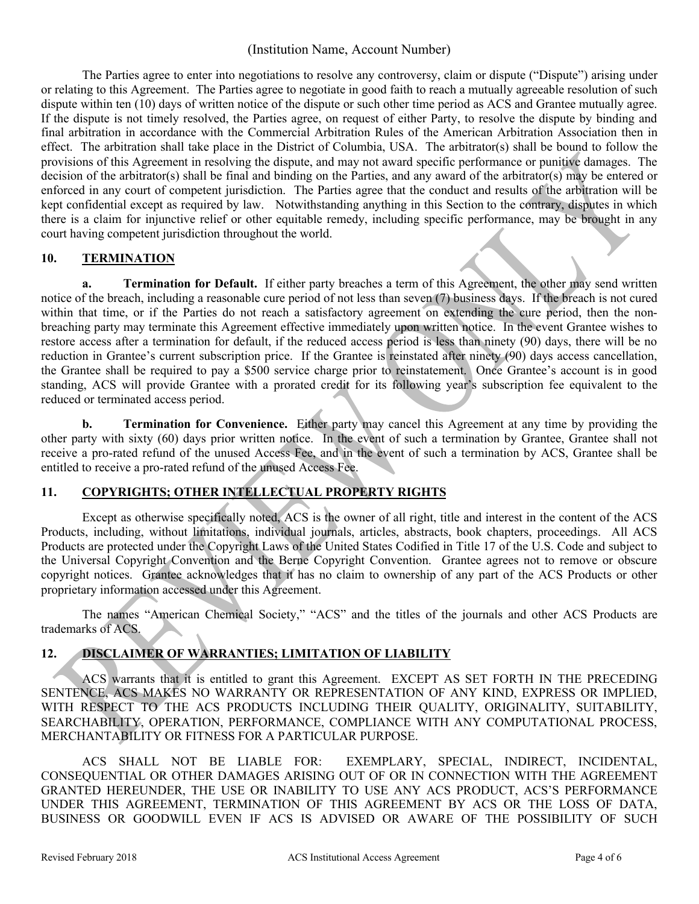The Parties agree to enter into negotiations to resolve any controversy, claim or dispute ("Dispute") arising under or relating to this Agreement. The Parties agree to negotiate in good faith to reach a mutually agreeable resolution of such dispute within ten (10) days of written notice of the dispute or such other time period as ACS and Grantee mutually agree. If the dispute is not timely resolved, the Parties agree, on request of either Party, to resolve the dispute by binding and final arbitration in accordance with the Commercial Arbitration Rules of the American Arbitration Association then in effect. The arbitration shall take place in the District of Columbia, USA. The arbitrator(s) shall be bound to follow the provisions of this Agreement in resolving the dispute, and may not award specific performance or punitive damages. The decision of the arbitrator(s) shall be final and binding on the Parties, and any award of the arbitrator(s) may be entered or enforced in any court of competent jurisdiction. The Parties agree that the conduct and results of the arbitration will be kept confidential except as required by law.Notwithstanding anything in this Section to the contrary, disputes in which there is a claim for injunctive relief or other equitable remedy, including specific performance, may be brought in any court having competent jurisdiction throughout the world.

## **10. TERMINATION**

**a. Termination for Default.** If either party breaches a term of this Agreement, the other may send written notice of the breach, including a reasonable cure period of not less than seven (7) business days. If the breach is not cured within that time, or if the Parties do not reach a satisfactory agreement on extending the cure period, then the nonbreaching party may terminate this Agreement effective immediately upon written notice. In the event Grantee wishes to restore access after a termination for default, if the reduced access period is less than ninety (90) days, there will be no reduction in Grantee's current subscription price. If the Grantee is reinstated after ninety (90) days access cancellation, the Grantee shall be required to pay a \$500 service charge prior to reinstatement. Once Grantee's account is in good standing, ACS will provide Grantee with a prorated credit for its following year's subscription fee equivalent to the reduced or terminated access period.

**b. Termination for Convenience.** Either party may cancel this Agreement at any time by providing the other party with sixty (60) days prior written notice. In the event of such a termination by Grantee, Grantee shall not receive a pro-rated refund of the unused Access Fee, and in the event of such a termination by ACS, Grantee shall be entitled to receive a pro-rated refund of the unused Access Fee.

## **11. COPYRIGHTS; OTHER INTELLECTUAL PROPERTY RIGHTS**

Except as otherwise specifically noted, ACS is the owner of all right, title and interest in the content of the ACS Products, including, without limitations, individual journals, articles, abstracts, book chapters, proceedings. All ACS Products are protected under the Copyright Laws of the United States Codified in Title 17 of the U.S. Code and subject to the Universal Copyright Convention and the Berne Copyright Convention. Grantee agrees not to remove or obscure copyright notices. Grantee acknowledges that it has no claim to ownership of any part of the ACS Products or other proprietary information accessed under this Agreement.

The names "American Chemical Society," "ACS" and the titles of the journals and other ACS Products are trademarks of ACS.

# **12. DISCLAIMER OF WARRANTIES; LIMITATION OF LIABILITY**

ACS warrants that it is entitled to grant this Agreement. EXCEPT AS SET FORTH IN THE PRECEDING SENTENCE, ACS MAKES NO WARRANTY OR REPRESENTATION OF ANY KIND, EXPRESS OR IMPLIED, WITH RESPECT TO THE ACS PRODUCTS INCLUDING THEIR QUALITY, ORIGINALITY, SUITABILITY, SEARCHABILITY, OPERATION, PERFORMANCE, COMPLIANCE WITH ANY COMPUTATIONAL PROCESS, MERCHANTABILITY OR FITNESS FOR A PARTICULAR PURPOSE.

ACS SHALL NOT BE LIABLE FOR: EXEMPLARY, SPECIAL, INDIRECT, INCIDENTAL, CONSEQUENTIAL OR OTHER DAMAGES ARISING OUT OF OR IN CONNECTION WITH THE AGREEMENT GRANTED HEREUNDER, THE USE OR INABILITY TO USE ANY ACS PRODUCT, ACS'S PERFORMANCE UNDER THIS AGREEMENT, TERMINATION OF THIS AGREEMENT BY ACS OR THE LOSS OF DATA, BUSINESS OR GOODWILL EVEN IF ACS IS ADVISED OR AWARE OF THE POSSIBILITY OF SUCH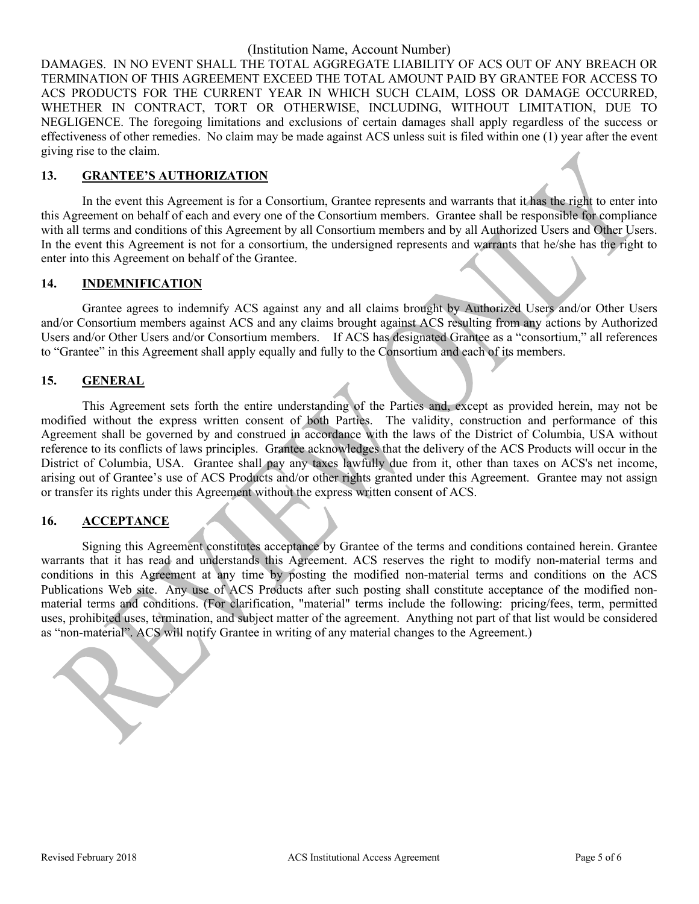DAMAGES. IN NO EVENT SHALL THE TOTAL AGGREGATE LIABILITY OF ACS OUT OF ANY BREACH OR TERMINATION OF THIS AGREEMENT EXCEED THE TOTAL AMOUNT PAID BY GRANTEE FOR ACCESS TO ACS PRODUCTS FOR THE CURRENT YEAR IN WHICH SUCH CLAIM, LOSS OR DAMAGE OCCURRED, WHETHER IN CONTRACT, TORT OR OTHERWISE, INCLUDING, WITHOUT LIMITATION, DUE TO NEGLIGENCE. The foregoing limitations and exclusions of certain damages shall apply regardless of the success or effectiveness of other remedies. No claim may be made against ACS unless suit is filed within one (1) year after the event giving rise to the claim.

#### **13. GRANTEE'S AUTHORIZATION**

In the event this Agreement is for a Consortium, Grantee represents and warrants that it has the right to enter into this Agreement on behalf of each and every one of the Consortium members. Grantee shall be responsible for compliance with all terms and conditions of this Agreement by all Consortium members and by all Authorized Users and Other Users. In the event this Agreement is not for a consortium, the undersigned represents and warrants that he/she has the right to enter into this Agreement on behalf of the Grantee.

#### **14. INDEMNIFICATION**

Grantee agrees to indemnify ACS against any and all claims brought by Authorized Users and/or Other Users and/or Consortium members against ACS and any claims brought against ACS resulting from any actions by Authorized Users and/or Other Users and/or Consortium members. If ACS has designated Grantee as a "consortium," all references to "Grantee" in this Agreement shall apply equally and fully to the Consortium and each of its members.

#### **15. GENERAL**

This Agreement sets forth the entire understanding of the Parties and, except as provided herein, may not be modified without the express written consent of both Parties. The validity, construction and performance of this Agreement shall be governed by and construed in accordance with the laws of the District of Columbia, USA without reference to its conflicts of laws principles. Grantee acknowledges that the delivery of the ACS Products will occur in the District of Columbia, USA. Grantee shall pay any taxes lawfully due from it, other than taxes on ACS's net income, arising out of Grantee's use of ACS Products and/or other rights granted under this Agreement. Grantee may not assign or transfer its rights under this Agreement without the express written consent of ACS.

## **16. ACCEPTANCE**

Signing this Agreement constitutes acceptance by Grantee of the terms and conditions contained herein. Grantee warrants that it has read and understands this Agreement. ACS reserves the right to modify non-material terms and conditions in this Agreement at any time by posting the modified non-material terms and conditions on the ACS Publications Web site. Any use of ACS Products after such posting shall constitute acceptance of the modified nonmaterial terms and conditions. (For clarification, "material" terms include the following: pricing/fees, term, permitted uses, prohibited uses, termination, and subject matter of the agreement. Anything not part of that list would be considered as "non-material". ACS will notify Grantee in writing of any material changes to the Agreement.)